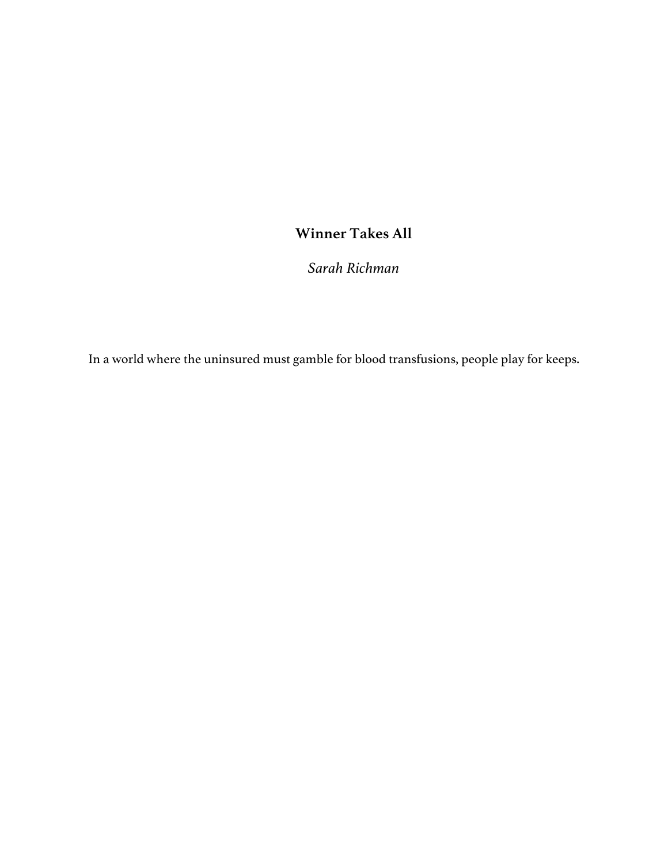## **Winner Takes All**

*Sarah Richman*

In a world where the uninsured must gamble for blood transfusions, people play for keeps.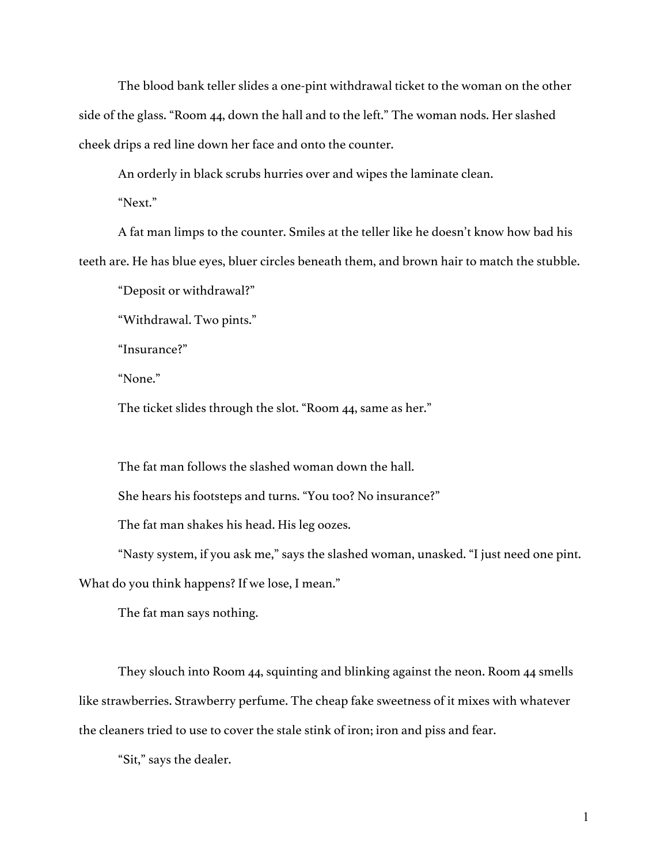The blood bank teller slides a one-pint withdrawal ticket to the woman on the other side of the glass. "Room 44, down the hall and to the left." The woman nods. Her slashed cheek drips a red line down her face and onto the counter.

An orderly in black scrubs hurries over and wipes the laminate clean.

"Next."

A fat man limps to the counter. Smiles at the teller like he doesn't know how bad his teeth are. He has blue eyes, bluer circles beneath them, and brown hair to match the stubble.

"Deposit or withdrawal?"

"Withdrawal. Two pints."

"Insurance?"

"None."

The ticket slides through the slot. "Room 44, same as her."

The fat man follows the slashed woman down the hall.

She hears his footsteps and turns. "You too? No insurance?"

The fat man shakes his head. His leg oozes.

"Nasty system, if you ask me," says the slashed woman, unasked. "I just need one pint. What do you think happens? If we lose, I mean."

The fat man says nothing.

They slouch into Room 44, squinting and blinking against the neon. Room 44 smells like strawberries. Strawberry perfume. The cheap fake sweetness of it mixes with whatever the cleaners tried to use to cover the stale stink of iron; iron and piss and fear.

"Sit," says the dealer.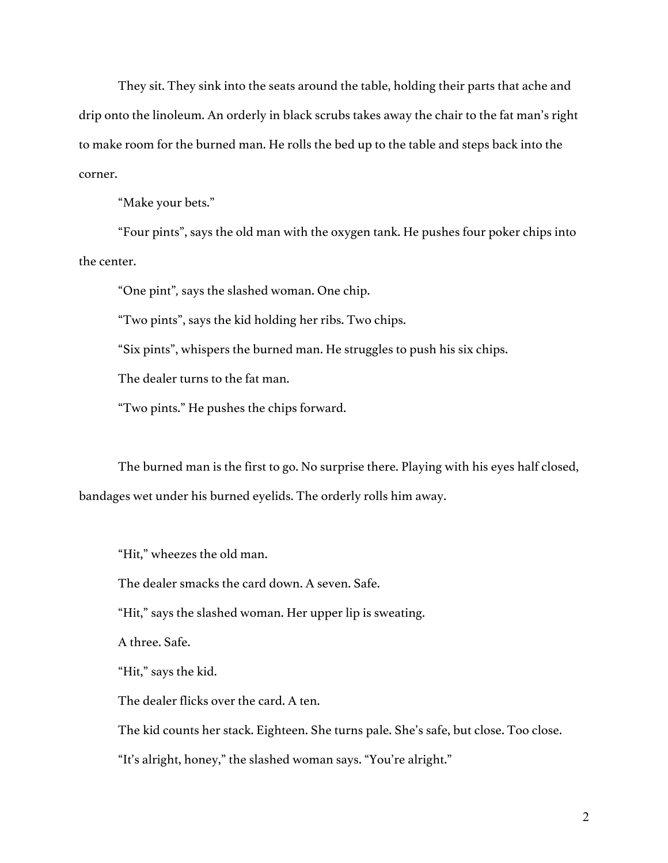They sit. They sink into the seats around the table, holding their parts that ache and drip onto the linoleum. An orderly in black scrubs takes away the chair to the fat man's right to make room for the burned man. He rolls the bed up to the table and steps back into the corner.

"Make your bets."

"Four pints", says the old man with the oxygen tank. He pushes four poker chips into the center.

"One pint"*,* says the slashed woman. One chip.

"Two pints", says the kid holding her ribs. Two chips.

"Six pints", whispers the burned man. He struggles to push his six chips.

The dealer turns to the fat man.

"Two pints." He pushes the chips forward.

The burned man is the first to go. No surprise there. Playing with his eyes half closed, bandages wet under his burned eyelids. The orderly rolls him away.

"Hit," wheezes the old man.

The dealer smacks the card down. A seven. Safe.

"Hit," says the slashed woman. Her upper lip is sweating.

A three. Safe.

"Hit," says the kid.

The dealer flicks over the card. A ten.

The kid counts her stack. Eighteen. She turns pale. She's safe, but close. Too close.

"It's alright, honey," the slashed woman says. "You're alright."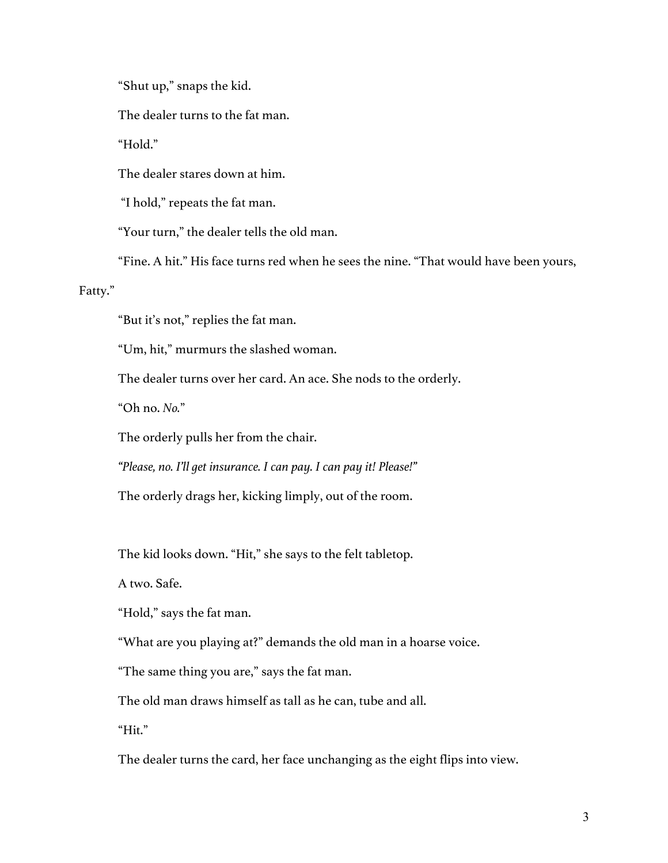"Shut up," snaps the kid.

The dealer turns to the fat man.

"Hold."

The dealer stares down at him.

"I hold," repeats the fat man.

"Your turn," the dealer tells the old man.

"Fine. A hit." His face turns red when he sees the nine. "That would have been yours,

Fatty."

"But it's not," replies the fat man.

"Um, hit," murmurs the slashed woman.

The dealer turns over her card. An ace. She nods to the orderly.

"Oh no. *No.*"

The orderly pulls her from the chair.

*"Please, no. I'll get insurance. I can pay. I can pay it! Please!"*

The orderly drags her, kicking limply, out of the room.

The kid looks down. "Hit," she says to the felt tabletop.

A two. Safe.

"Hold," says the fat man.

"What are you playing at?" demands the old man in a hoarse voice.

"The same thing you are," says the fat man.

The old man draws himself as tall as he can, tube and all.

"Hit."

The dealer turns the card, her face unchanging as the eight flips into view.